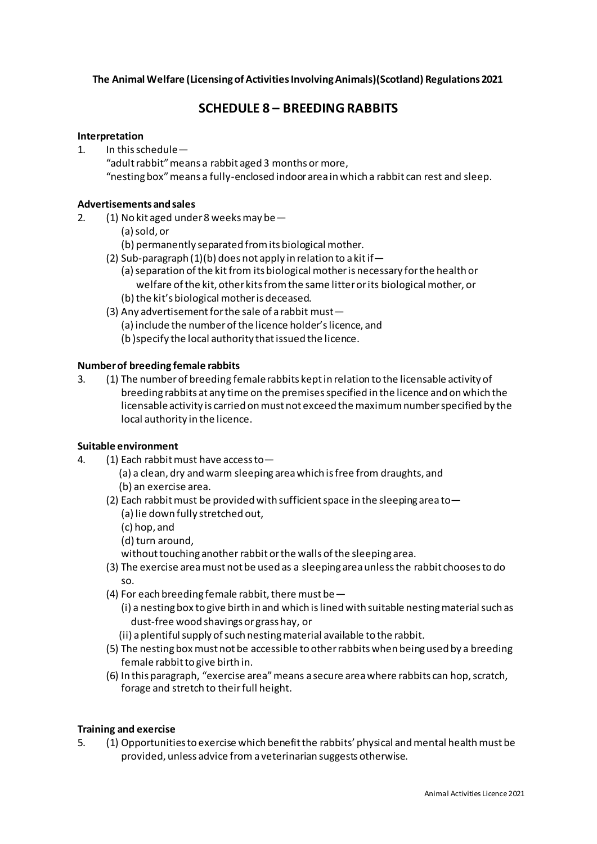**The Animal Welfare (Licensing of Activities Involving Animals)(Scotland) Regulations 2021**

# **SCHEDULE 8 – BREEDING RABBITS**

#### **Interpretation**

1. In this schedule— "adult rabbit" means a rabbit aged 3 months or more,

# "nesting box" means a fully-enclosed indoor area in which a rabbit can rest and sleep.

### **Advertisements and sales**

- 2. (1) No kit aged under 8 weeks may be—
	- (a) sold, or
	- (b) permanently separated from its biological mother.
	- (2) Sub-paragraph (1)(b) does not apply in relation to a kitif—
		- (a) separation of the kitfrom its biological mother is necessary for the health or welfare of the kit, other kits from the same litter or its biological mother, or (b) the kit's biological mother is deceased.
	- (3) Any advertisement for the sale of a rabbit must— (a) include the number of the licence holder's licence, and
		-
		- (b )specify the local authority that issued the licence.

# **Number of breeding female rabbits**

3. (1) The number of breeding female rabbits kept in relation to the licensable activity of breeding rabbits at any time on the premises specified in the licence and on which the licensableactivity is carried on must not exceed the maximum number specified by the local authority in the licence.

# **Suitable environment**

- 4. (1) Each rabbit must have access to-
	- (a) a clean, dry and warm sleeping area which is free from draughts, and (b) an exercise area.
	- (2) Each rabbit must be provided with sufficient space in the sleeping area to  $-$ 
		- (a) lie down fully stretched out,
		- (c) hop, and
		- (d) turn around,

without touching another rabbitor the walls of the sleeping area.

- (3) The exercise area must not be used as a sleeping area unless the rabbit chooses to do so.
- (4) For each breeding female rabbit, there must be—
	- (i) a nesting box to give birth in and which is lined with suitable nesting material such as dust-free wood shavings or grass hay, or
	- (ii) a plentiful supply of such nesting material available to the rabbit.
- (5) The nesting box must not be accessible to other rabbits when being used by a breeding female rabbit to give birth in.
- (6) In this paragraph, "exercise area" means a secure area where rabbits can hop, scratch, forage and stretch to their full height.

#### **Training and exercise**

5. (1) Opportunities to exercise which benefit the rabbits' physical and mental health must be provided, unless advice from a veterinarian suggests otherwise.